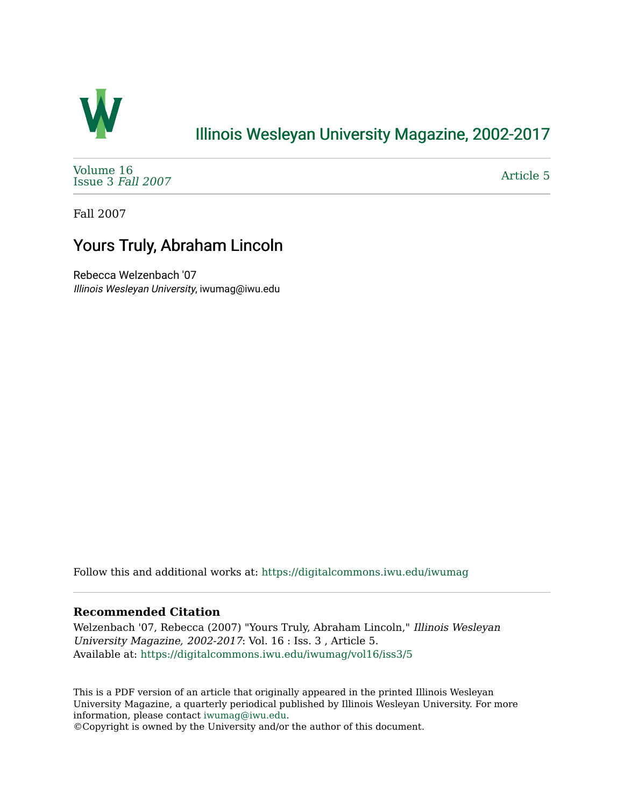

## [Illinois Wesleyan University Magazine, 2002-2017](https://digitalcommons.iwu.edu/iwumag)

[Volume 16](https://digitalcommons.iwu.edu/iwumag/vol16)  [Issue 3](https://digitalcommons.iwu.edu/iwumag/vol16/iss3) Fall 2007

[Article 5](https://digitalcommons.iwu.edu/iwumag/vol16/iss3/5) 

Fall 2007

# Yours Truly, Abraham Lincoln

Rebecca Welzenbach '07 Illinois Wesleyan University, iwumag@iwu.edu

Follow this and additional works at: [https://digitalcommons.iwu.edu/iwumag](https://digitalcommons.iwu.edu/iwumag?utm_source=digitalcommons.iwu.edu%2Fiwumag%2Fvol16%2Fiss3%2F5&utm_medium=PDF&utm_campaign=PDFCoverPages) 

#### **Recommended Citation**

Welzenbach '07, Rebecca (2007) "Yours Truly, Abraham Lincoln," Illinois Wesleyan University Magazine, 2002-2017: Vol. 16 : Iss. 3 , Article 5. Available at: [https://digitalcommons.iwu.edu/iwumag/vol16/iss3/5](https://digitalcommons.iwu.edu/iwumag/vol16/iss3/5?utm_source=digitalcommons.iwu.edu%2Fiwumag%2Fvol16%2Fiss3%2F5&utm_medium=PDF&utm_campaign=PDFCoverPages)

This is a PDF version of an article that originally appeared in the printed Illinois Wesleyan University Magazine, a quarterly periodical published by Illinois Wesleyan University. For more information, please contact [iwumag@iwu.edu](mailto:iwumag@iwu.edu).

©Copyright is owned by the University and/or the author of this document.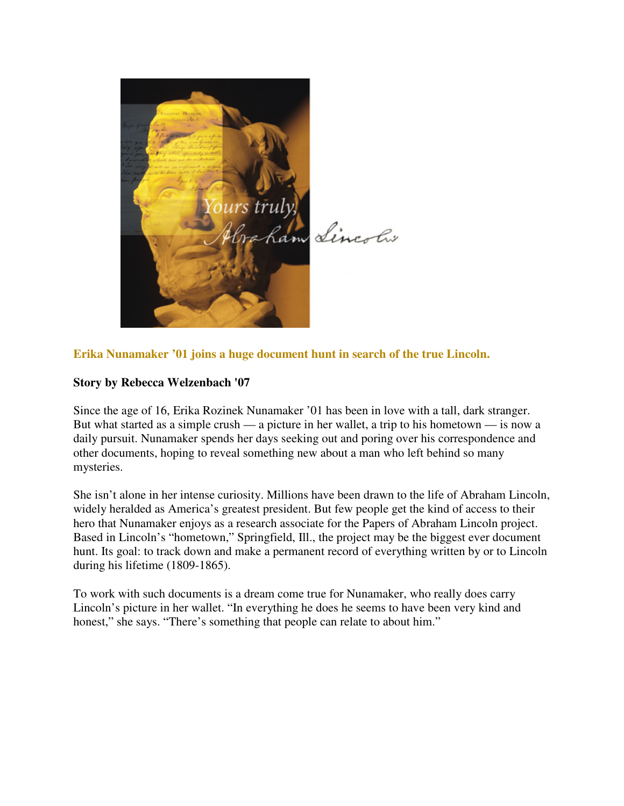

### **Erika Nunamaker '01 joins a huge document hunt in search of the true Lincoln.**

#### **Story by Rebecca Welzenbach '07**

Since the age of 16, Erika Rozinek Nunamaker '01 has been in love with a tall, dark stranger. But what started as a simple crush — a picture in her wallet, a trip to his hometown — is now a daily pursuit. Nunamaker spends her days seeking out and poring over his correspondence and other documents, hoping to reveal something new about a man who left behind so many mysteries.

She isn't alone in her intense curiosity. Millions have been drawn to the life of Abraham Lincoln, widely heralded as America's greatest president. But few people get the kind of access to their hero that Nunamaker enjoys as a research associate for the Papers of Abraham Lincoln project. Based in Lincoln's "hometown," Springfield, Ill., the project may be the biggest ever document hunt. Its goal: to track down and make a permanent record of everything written by or to Lincoln during his lifetime (1809-1865).

To work with such documents is a dream come true for Nunamaker, who really does carry Lincoln's picture in her wallet. "In everything he does he seems to have been very kind and honest," she says. "There's something that people can relate to about him."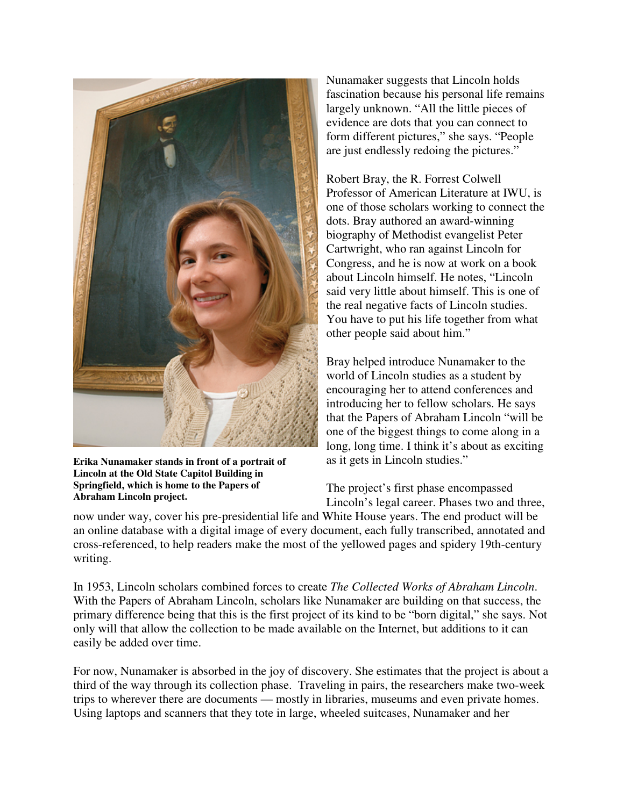

**Erika Nunamaker stands in front of a portrait of Lincoln at the Old State Capitol Building in Springfield, which is home to the Papers of Abraham Lincoln project.**

Nunamaker suggests that Lincoln holds fascination because his personal life remains largely unknown. "All the little pieces of evidence are dots that you can connect to form different pictures," she says. "People are just endlessly redoing the pictures."

Robert Bray, the R. Forrest Colwell Professor of American Literature at IWU, is one of those scholars working to connect the dots. Bray authored an award-winning biography of Methodist evangelist Peter Cartwright, who ran against Lincoln for Congress, and he is now at work on a book about Lincoln himself. He notes, "Lincoln said very little about himself. This is one of the real negative facts of Lincoln studies. You have to put his life together from what other people said about him."

Bray helped introduce Nunamaker to the world of Lincoln studies as a student by encouraging her to attend conferences and introducing her to fellow scholars. He says that the Papers of Abraham Lincoln "will be one of the biggest things to come along in a long, long time. I think it's about as exciting as it gets in Lincoln studies."

The project's first phase encompassed Lincoln's legal career. Phases two and three,

now under way, cover his pre-presidential life and White House years. The end product will be an online database with a digital image of every document, each fully transcribed, annotated and cross-referenced, to help readers make the most of the yellowed pages and spidery 19th-century writing.

In 1953, Lincoln scholars combined forces to create *The Collected Works of Abraham Lincoln*. With the Papers of Abraham Lincoln, scholars like Nunamaker are building on that success, the primary difference being that this is the first project of its kind to be "born digital," she says. Not only will that allow the collection to be made available on the Internet, but additions to it can easily be added over time.

For now, Nunamaker is absorbed in the joy of discovery. She estimates that the project is about a third of the way through its collection phase. Traveling in pairs, the researchers make two-week trips to wherever there are documents — mostly in libraries, museums and even private homes. Using laptops and scanners that they tote in large, wheeled suitcases, Nunamaker and her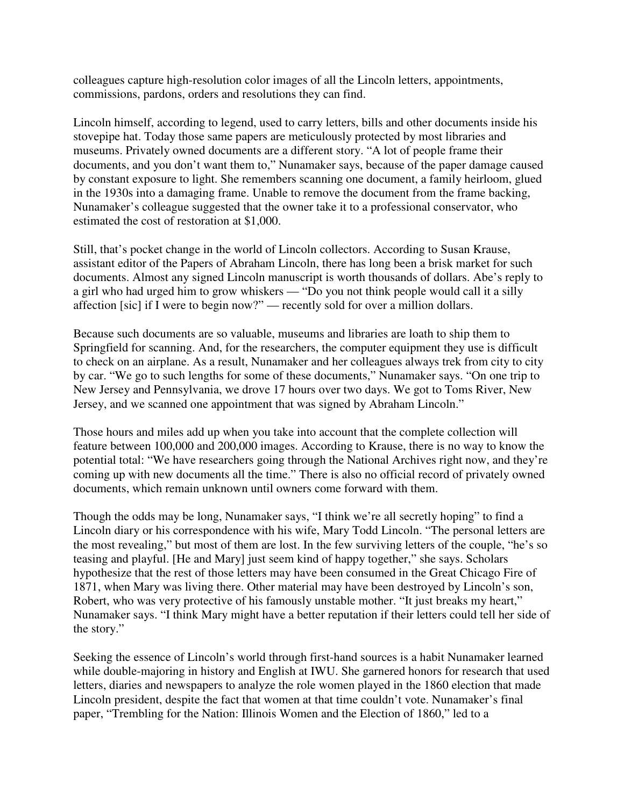colleagues capture high-resolution color images of all the Lincoln letters, appointments, commissions, pardons, orders and resolutions they can find.

Lincoln himself, according to legend, used to carry letters, bills and other documents inside his stovepipe hat. Today those same papers are meticulously protected by most libraries and museums. Privately owned documents are a different story. "A lot of people frame their documents, and you don't want them to," Nunamaker says, because of the paper damage caused by constant exposure to light. She remembers scanning one document, a family heirloom, glued in the 1930s into a damaging frame. Unable to remove the document from the frame backing, Nunamaker's colleague suggested that the owner take it to a professional conservator, who estimated the cost of restoration at \$1,000.

Still, that's pocket change in the world of Lincoln collectors. According to Susan Krause, assistant editor of the Papers of Abraham Lincoln, there has long been a brisk market for such documents. Almost any signed Lincoln manuscript is worth thousands of dollars. Abe's reply to a girl who had urged him to grow whiskers — "Do you not think people would call it a silly affection [sic] if I were to begin now?" — recently sold for over a million dollars.

Because such documents are so valuable, museums and libraries are loath to ship them to Springfield for scanning. And, for the researchers, the computer equipment they use is difficult to check on an airplane. As a result, Nunamaker and her colleagues always trek from city to city by car. "We go to such lengths for some of these documents," Nunamaker says. "On one trip to New Jersey and Pennsylvania, we drove 17 hours over two days. We got to Toms River, New Jersey, and we scanned one appointment that was signed by Abraham Lincoln."

Those hours and miles add up when you take into account that the complete collection will feature between 100,000 and 200,000 images. According to Krause, there is no way to know the potential total: "We have researchers going through the National Archives right now, and they're coming up with new documents all the time." There is also no official record of privately owned documents, which remain unknown until owners come forward with them.

Though the odds may be long, Nunamaker says, "I think we're all secretly hoping" to find a Lincoln diary or his correspondence with his wife, Mary Todd Lincoln. "The personal letters are the most revealing," but most of them are lost. In the few surviving letters of the couple, "he's so teasing and playful. [He and Mary] just seem kind of happy together," she says. Scholars hypothesize that the rest of those letters may have been consumed in the Great Chicago Fire of 1871, when Mary was living there. Other material may have been destroyed by Lincoln's son, Robert, who was very protective of his famously unstable mother. "It just breaks my heart," Nunamaker says. "I think Mary might have a better reputation if their letters could tell her side of the story."

Seeking the essence of Lincoln's world through first-hand sources is a habit Nunamaker learned while double-majoring in history and English at IWU. She garnered honors for research that used letters, diaries and newspapers to analyze the role women played in the 1860 election that made Lincoln president, despite the fact that women at that time couldn't vote. Nunamaker's final paper, "Trembling for the Nation: Illinois Women and the Election of 1860," led to a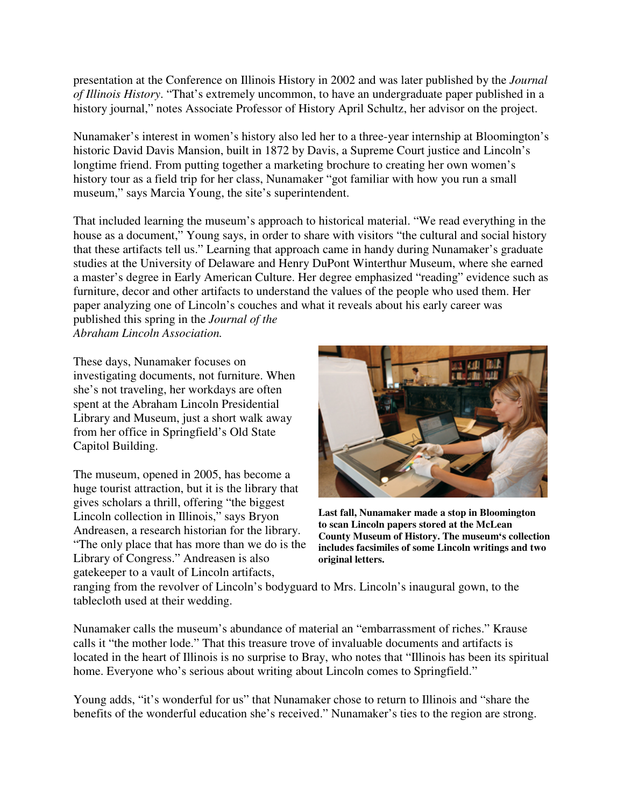presentation at the Conference on Illinois History in 2002 and was later published by the *Journal of Illinois History*. "That's extremely uncommon, to have an undergraduate paper published in a history journal," notes Associate Professor of History April Schultz, her advisor on the project.

Nunamaker's interest in women's history also led her to a three-year internship at Bloomington's historic David Davis Mansion, built in 1872 by Davis, a Supreme Court justice and Lincoln's longtime friend. From putting together a marketing brochure to creating her own women's history tour as a field trip for her class, Nunamaker "got familiar with how you run a small museum," says Marcia Young, the site's superintendent.

That included learning the museum's approach to historical material. "We read everything in the house as a document," Young says, in order to share with visitors "the cultural and social history that these artifacts tell us." Learning that approach came in handy during Nunamaker's graduate studies at the University of Delaware and Henry DuPont Winterthur Museum, where she earned a master's degree in Early American Culture. Her degree emphasized "reading" evidence such as furniture, decor and other artifacts to understand the values of the people who used them. Her paper analyzing one of Lincoln's couches and what it reveals about his early career was published this spring in the *Journal of the* 

*Abraham Lincoln Association.*

These days, Nunamaker focuses on investigating documents, not furniture. When she's not traveling, her workdays are often spent at the Abraham Lincoln Presidential Library and Museum, just a short walk away from her office in Springfield's Old State Capitol Building.

The museum, opened in 2005, has become a huge tourist attraction, but it is the library that gives scholars a thrill, offering "the biggest Lincoln collection in Illinois," says Bryon Andreasen, a research historian for the library. "The only place that has more than we do is the Library of Congress." Andreasen is also gatekeeper to a vault of Lincoln artifacts,



**Last fall, Nunamaker made a stop in Bloomington to scan Lincoln papers stored at the McLean County Museum of History. The museum's collection includes facsimiles of some Lincoln writings and two original letters.**

ranging from the revolver of Lincoln's bodyguard to Mrs. Lincoln's inaugural gown, to the tablecloth used at their wedding.

Nunamaker calls the museum's abundance of material an "embarrassment of riches." Krause calls it "the mother lode." That this treasure trove of invaluable documents and artifacts is located in the heart of Illinois is no surprise to Bray, who notes that "Illinois has been its spiritual home. Everyone who's serious about writing about Lincoln comes to Springfield."

Young adds, "it's wonderful for us" that Nunamaker chose to return to Illinois and "share the benefits of the wonderful education she's received." Nunamaker's ties to the region are strong.